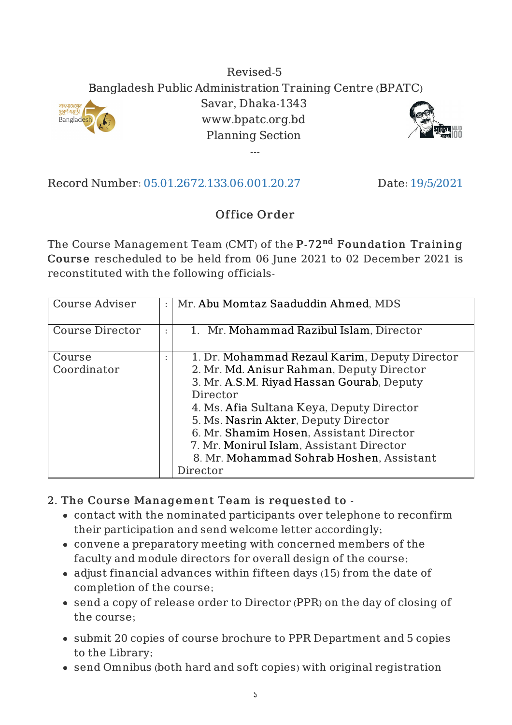## Revised-5 Bangladesh Public Administration Training Centre (BPATC) Savar, Dhaka-1343 www.bpatc.org.bd Planning Section

---



Record Number: 05.01.2672.133.06.001.20.27 Date: 19/5/2021

**Banglad** 

## Office Order

The Course Management Team (CMT) of the <code>P-72</code><sup>nd</sup> <code>Foundation Training</code> Course rescheduled to be held from 06 June 2021 to 02 December 2021 is reconstituted with the following officials-

| <b>Course Adviser</b>  | Mr. Abu Momtaz Saaduddin Ahmed, MDS                                                                                                                                                                                                                                                                                             |
|------------------------|---------------------------------------------------------------------------------------------------------------------------------------------------------------------------------------------------------------------------------------------------------------------------------------------------------------------------------|
| <b>Course Director</b> | 1. Mr. Mohammad Razibul Islam, Director                                                                                                                                                                                                                                                                                         |
| Course<br>Coordinator  | 1. Dr. Mohammad Rezaul Karim, Deputy Director<br>2. Mr. Md. Anisur Rahman, Deputy Director<br>3. Mr. A.S.M. Riyad Hassan Gourab, Deputy<br>Director<br>4. Ms. Afia Sultana Keya, Deputy Director<br>5. Ms. Nasrin Akter, Deputy Director<br>6. Mr. Shamim Hosen, Assistant Director<br>7. Mr. Monirul Islam, Assistant Director |
|                        | 8. Mr. Mohammad Sohrab Hoshen, Assistant<br>Director                                                                                                                                                                                                                                                                            |

## 2. The Course Management Team is requested to -

- contact with the nominated participants over telephone to reconfirm their participation and send welcome letter accordingly;
- convene a preparatory meeting with concerned members of the faculty and module directors for overall design of the course;
- adjust financial advances within fifteen days (15) from the date of completion of the course;
- send a copy of release order to Director (PPR) on the day of closing of the course;
- submit 20 copies of course brochure to PPR Department and 5 copies to the Library;
- send Omnibus (both hard and soft copies) with original registration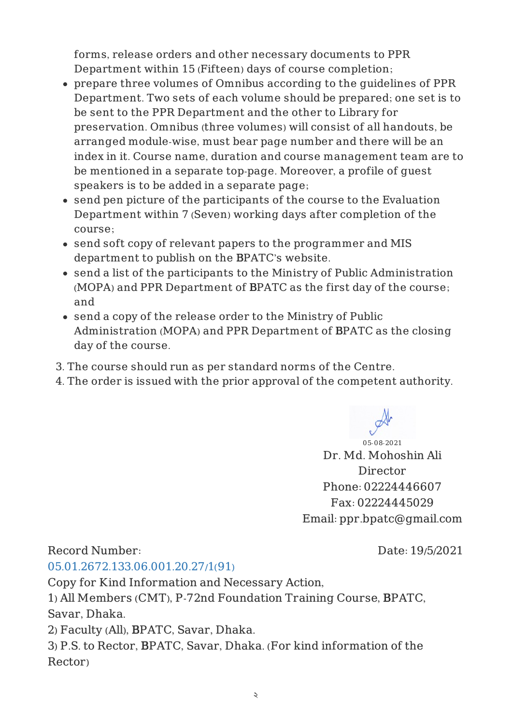forms, release orders and other necessary documents to PPR Department within 15 (Fifteen) days of course completion;

- prepare three volumes of Omnibus according to the guidelines of PPR Department. Two sets of each volume should be prepared; one set is to be sent to the PPR Department and the other to Library for preservation. Omnibus (three volumes) will consist of all handouts, be arranged module-wise, must bear page number and there will be an index in it. Course name, duration and course management team are to be mentioned in a separate top-page. Moreover, a profile of guest speakers is to be added in a separate page;
- send pen picture of the participants of the course to the Evaluation Department within 7 (Seven) working days after completion of the course;
- send soft copy of relevant papers to the programmer and MIS department to publish on the BPATC's website.
- send a list of the participants to the Ministry of Public Administration (MOPA) and PPR Department of BPATC as the first day of the course; and
- send a copy of the release order to the Ministry of Public Administration (MOPA) and PPR Department of BPATC as the closing day of the course.
- 3. The course should run as per standard norms of the Centre.
- 4. The order is issued with the prior approval of the competent authority.

Record Number:

Date: 19/5/2021

05-08-2021 Dr. Md. Mohoshin Ali Director Phone: 02224446607 Fax: 02224445029

Email: ppr.bpatc@gmail.com

05.01.2672.133.06.001.20.27/1(91)

Copy for Kind Information and Necessary Action,

1) All Members (CMT), P-72nd Foundation Training Course, BPATC, Savar, Dhaka.

2) Faculty (All), BPATC, Savar, Dhaka.

3) P.S. to Rector, BPATC, Savar, Dhaka. (For kind information of the Rector)